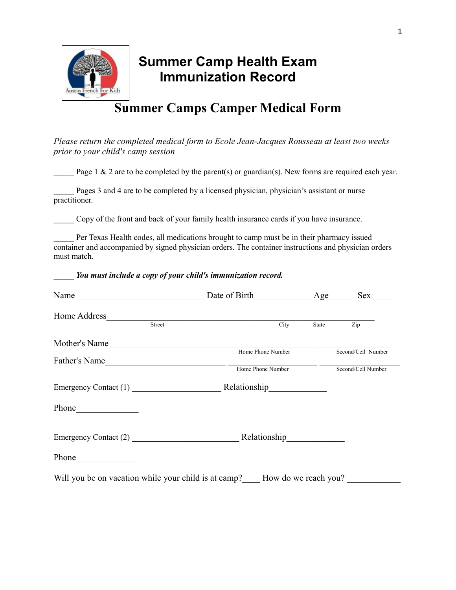

# **Summer Camp Health Exam Immunization Record**

# **Summer Camps Camper Medical Form**

*Please return the completed medical form to Ecole Jean-Jacques Rousseau at least two weeks prior to your child's camp session*

Page 1  $& 2$  are to be completed by the parent(s) or guardian(s). New forms are required each year.

Pages 3 and 4 are to be completed by a licensed physician, physician's assistant or nurse practitioner.

\_\_\_\_\_ Copy of the front and back of your family health insurance cards if you have insurance.

Per Texas Health codes, all medications brought to camp must be in their pharmacy issued container and accompanied by signed physician orders. The container instructions and physician orders must match.

\_\_\_\_\_ *You must include a copy of your child's immunization record.*

| Name                  |        | Date of Birth Age                                                         |       | Sex                |
|-----------------------|--------|---------------------------------------------------------------------------|-------|--------------------|
| Home Address          |        |                                                                           |       |                    |
|                       | Street | City                                                                      | State | Zip                |
| Mother's Name         |        |                                                                           |       |                    |
| Father's Name         |        | Home Phone Number                                                         |       | Second/Cell Number |
|                       |        | Home Phone Number                                                         |       | Second/Cell Number |
| Emergency Contact (1) |        |                                                                           |       |                    |
| Phone                 |        |                                                                           |       |                    |
| Emergency Contact (2) |        |                                                                           |       |                    |
| Phone                 |        |                                                                           |       |                    |
|                       |        | Will you be on vacation while your child is at camp? How do we reach you? |       |                    |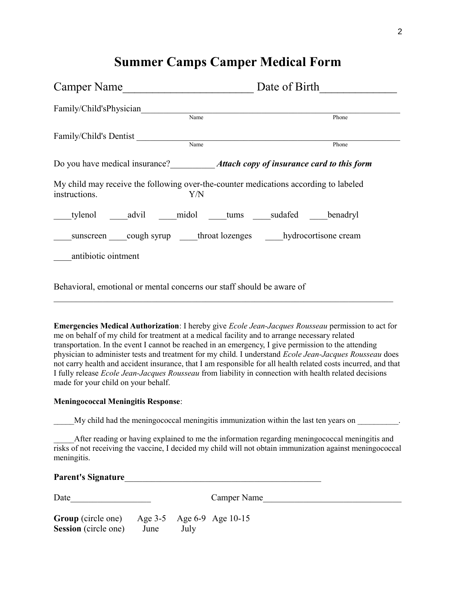### **Summer Camps Camper Medical Form**

| Camper Name                                                                                           |      | Date of Birth |  |  |
|-------------------------------------------------------------------------------------------------------|------|---------------|--|--|
| Family/Child'sPhysician                                                                               |      |               |  |  |
|                                                                                                       | Name | Phone         |  |  |
| Family/Child's Dentist                                                                                |      |               |  |  |
|                                                                                                       | Name | Phone         |  |  |
| Do you have medical insurance? Attach copy of insurance card to this form                             |      |               |  |  |
| My child may receive the following over-the-counter medications according to labeled<br>instructions. | Y/N  |               |  |  |
| tylenol advil midol tums sudafed benadryl                                                             |      |               |  |  |
| sunscreen cough syrup throat lozenges hydrocortisone cream                                            |      |               |  |  |
| antibiotic ointment                                                                                   |      |               |  |  |
| Behavioral, emotional or mental concerns our staff should be aware of                                 |      |               |  |  |

**Emergencies Medical Authorization**: I hereby give *Ecole Jean-Jacques Rousseau* permission to act for me on behalf of my child for treatment at a medical facility and to arrange necessary related transportation. In the event I cannot be reached in an emergency, I give permission to the attending physician to administer tests and treatment for my child. I understand *Ecole Jean-Jacques Rousseau* does not carry health and accident insurance, that I am responsible for all health related costs incurred, and that I fully release *Ecole Jean-Jacques Rousseau* from liability in connection with health related decisions made for your child on your behalf.

 $\mathcal{L}_\text{max}$  , and the contribution of the contribution of the contribution of the contribution of the contribution of the contribution of the contribution of the contribution of the contribution of the contribution of t

#### **Meningococcal Meningitis Response**:

My child had the meningococcal meningitis immunization within the last ten years on

After reading or having explained to me the information regarding meningococcal meningitis and risks of not receiving the vaccine, I decided my child will not obtain immunization against meningococcal meningitis.

### **Parent's Signature**\_\_\_\_\_\_\_\_\_\_\_\_\_\_\_\_\_\_\_\_\_\_\_\_\_\_\_\_\_\_\_\_\_\_\_\_\_\_\_\_\_\_\_\_

Camper Name

| <b>Group</b> (circle one)   |      |      | Age 3-5 Age 6-9 Age 10-15 |
|-----------------------------|------|------|---------------------------|
| <b>Session</b> (circle one) | June | July |                           |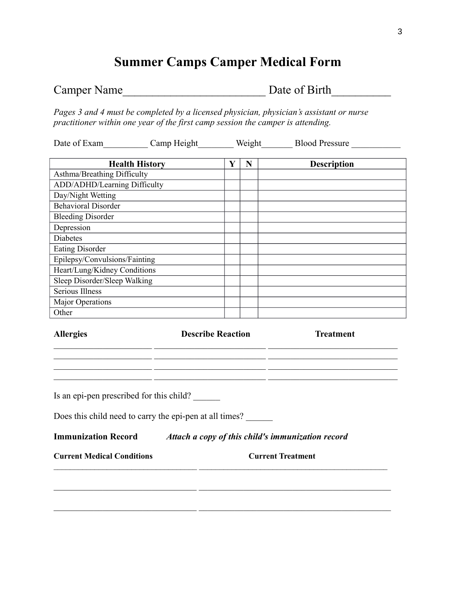## **Summer Camps Camper Medical Form**

Camper Name\_\_\_\_\_\_\_\_\_\_\_\_\_\_\_\_\_\_\_\_\_\_\_\_ Date of Birth\_\_\_\_\_\_\_\_\_\_

*Pages 3 and 4 must be completed by a licensed physician, physician's assistant or nurse practitioner within one year of the first camp session the camper is attending.*

Date of Exam\_\_\_\_\_\_\_\_\_\_ Camp Height\_\_\_\_\_\_\_\_ Weight\_\_\_\_\_\_\_ Blood Pressure \_\_\_\_\_\_\_\_

| <b>Health History</b>                                   | Y                                                 | N | <b>Description</b>       |
|---------------------------------------------------------|---------------------------------------------------|---|--------------------------|
| Asthma/Breathing Difficulty                             |                                                   |   |                          |
| ADD/ADHD/Learning Difficulty                            |                                                   |   |                          |
| Day/Night Wetting                                       |                                                   |   |                          |
| <b>Behavioral Disorder</b>                              |                                                   |   |                          |
| <b>Bleeding Disorder</b>                                |                                                   |   |                          |
| Depression                                              |                                                   |   |                          |
| <b>Diabetes</b>                                         |                                                   |   |                          |
| <b>Eating Disorder</b>                                  |                                                   |   |                          |
| Epilepsy/Convulsions/Fainting                           |                                                   |   |                          |
| Heart/Lung/Kidney Conditions                            |                                                   |   |                          |
| Sleep Disorder/Sleep Walking                            |                                                   |   |                          |
| <b>Serious Illness</b>                                  |                                                   |   |                          |
| Major Operations                                        |                                                   |   |                          |
| Other                                                   |                                                   |   |                          |
| <b>Allergies</b>                                        | <b>Describe Reaction</b>                          |   | <b>Treatment</b>         |
| Is an epi-pen prescribed for this child?                |                                                   |   |                          |
| Does this child need to carry the epi-pen at all times? |                                                   |   |                          |
| <b>Immunization Record</b>                              | Attach a copy of this child's immunization record |   |                          |
|                                                         |                                                   |   | <b>Current Treatment</b> |

 $\mathcal{L}_\text{max}$  , and the contribution of the contribution of the contribution of the contribution of the contribution of the contribution of the contribution of the contribution of the contribution of the contribution of t

 $\mathcal{L}_\mathcal{L} = \{ \mathcal{L}_\mathcal{L} = \{ \mathcal{L}_\mathcal{L} = \{ \mathcal{L}_\mathcal{L} = \{ \mathcal{L}_\mathcal{L} = \{ \mathcal{L}_\mathcal{L} = \{ \mathcal{L}_\mathcal{L} = \{ \mathcal{L}_\mathcal{L} = \{ \mathcal{L}_\mathcal{L} = \{ \mathcal{L}_\mathcal{L} = \{ \mathcal{L}_\mathcal{L} = \{ \mathcal{L}_\mathcal{L} = \{ \mathcal{L}_\mathcal{L} = \{ \mathcal{L}_\mathcal{L} = \{ \mathcal{L}_\mathcal{$